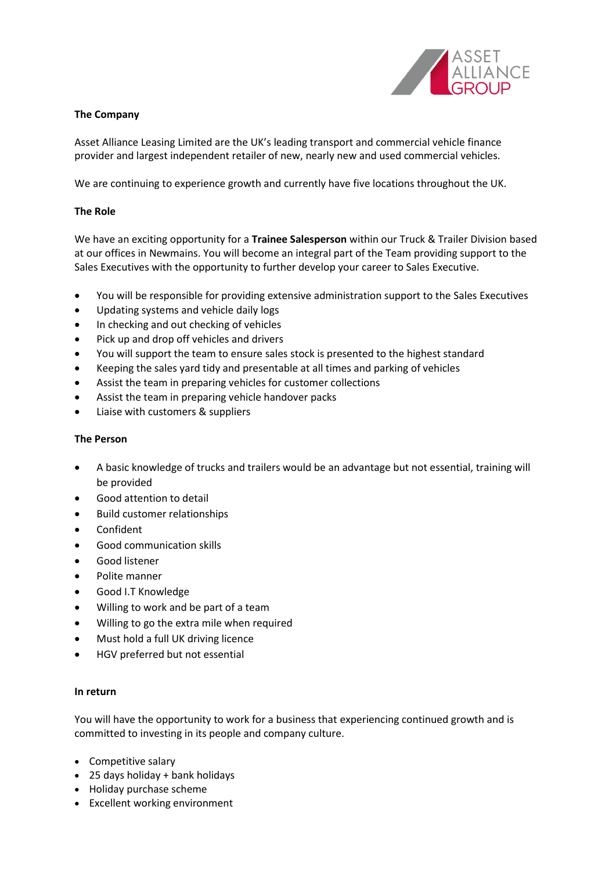

## **The Company**

Asset Alliance Leasing Limited are the UK's leading transport and commercial vehicle finance provider and largest independent retailer of new, nearly new and used commercial vehicles.

We are continuing to experience growth and currently have five locations throughout the UK.

## **The Role**

We have an exciting opportunity for a **Trainee Salesperson** within our Truck & Trailer Division based at our offices in Newmains. You will become an integral part of the Team providing support to the Sales Executives with the opportunity to further develop your career to Sales Executive.

- You will be responsible for providing extensive administration support to the Sales Executives
- Updating systems and vehicle daily logs
- In checking and out checking of vehicles
- Pick up and drop off vehicles and drivers
- You will support the team to ensure sales stock is presented to the highest standard
- Keeping the sales yard tidy and presentable at all times and parking of vehicles
- Assist the team in preparing vehicles for customer collections
- Assist the team in preparing vehicle handover packs
- Liaise with customers & suppliers

## **The Person**

- A basic knowledge of trucks and trailers would be an advantage but not essential, training will be provided
- Good attention to detail
- Build customer relationships
- Confident
- Good communication skills
- Good listener
- Polite manner
- Good I.T Knowledge
- Willing to work and be part of a team
- Willing to go the extra mile when required
- Must hold a full UK driving licence
- HGV preferred but not essential

## **In return**

You will have the opportunity to work for a business that experiencing continued growth and is committed to investing in its people and company culture.

- Competitive salary
- 25 days holiday + bank holidays
- Holiday purchase scheme
- Excellent working environment